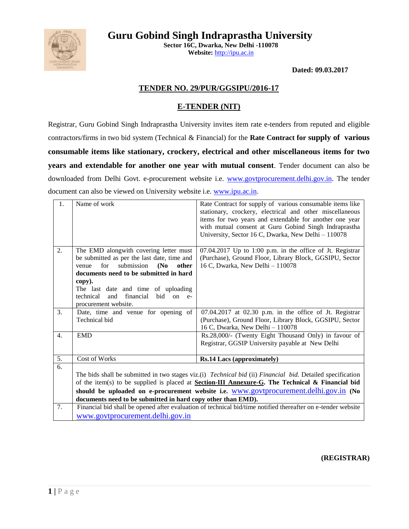



**Sector 16C, Dwarka, New Delhi -110078 Website:** [http://ipu.ac.in](http://ipu.ac.in/)

**Dated: 09.03.2017**

### **TENDER NO. 29/PUR/GGSIPU/2016-17**

### **E-TENDER (NIT)**

Registrar, Guru Gobind Singh Indraprastha University invites item rate e-tenders from reputed and eligible contractors/firms in two bid system (Technical & Financial) for the **Rate Contract for supply of various consumable items like stationary, crockery, electrical and other miscellaneous items for two years and extendable for another one year with mutual consent**. Tender document can also be downloaded from Delhi Govt. e-procurement website i.e. [www.govtprocurement.delhi.gov.in.](http://www.govtprocurement.delhi..gov.in/) The tender document can also be viewed on University website i.e. [www.ipu.ac.in.](http://www.ipu.ac.in/)

| 1 <sub>1</sub>   | Name of work                                                                                                                                                                                                                                                                                                                                                                                   | Rate Contract for supply of various consumable items like<br>stationary, crockery, electrical and other miscellaneous<br>items for two years and extendable for another one year<br>with mutual consent at Guru Gobind Singh Indraprastha<br>University, Sector 16 C, Dwarka, New Delhi - 110078 |  |  |
|------------------|------------------------------------------------------------------------------------------------------------------------------------------------------------------------------------------------------------------------------------------------------------------------------------------------------------------------------------------------------------------------------------------------|--------------------------------------------------------------------------------------------------------------------------------------------------------------------------------------------------------------------------------------------------------------------------------------------------|--|--|
| 2.               | The EMD alongwith covering letter must<br>be submitted as per the last date, time and<br>for<br>submission<br>(No)<br>other<br>venue<br>documents need to be submitted in hard<br>copy).<br>The last date and time of uploading<br>financial<br>technical<br>and<br>bid<br>on<br>$e-$<br>procurement website.                                                                                  | 07.04.2017 Up to 1:00 p.m. in the office of Jt. Registrar<br>(Purchase), Ground Floor, Library Block, GGSIPU, Sector<br>16 C, Dwarka, New Delhi - 110078                                                                                                                                         |  |  |
| 3.               | Date, time and venue for opening of<br>Technical bid                                                                                                                                                                                                                                                                                                                                           | 07.04.2017 at 02.30 p.m. in the office of Jt. Registrar<br>(Purchase), Ground Floor, Library Block, GGSIPU, Sector<br>16 C, Dwarka, New Delhi - 110078                                                                                                                                           |  |  |
| 4.               | <b>EMD</b>                                                                                                                                                                                                                                                                                                                                                                                     | Rs.28,000/- (Twenty Eight Thousand Only) in favour of<br>Registrar, GGSIP University payable at New Delhi                                                                                                                                                                                        |  |  |
| $\overline{5}$ . | Cost of Works                                                                                                                                                                                                                                                                                                                                                                                  | <b>Rs.14 Lacs (approximately)</b>                                                                                                                                                                                                                                                                |  |  |
| $\overline{6}$ . | The bids shall be submitted in two stages viz.(i) <i>Technical bid</i> (ii) <i>Financial bid</i> . Detailed specification<br>of the item(s) to be supplied is placed at <b>Section-III Annexure-G</b> . The Technical & Financial bid<br>should be uploaded on e-procurement website i.e. www.govtprocurement.delhi.gov.in (No<br>documents need to be submitted in hard copy other than EMD). |                                                                                                                                                                                                                                                                                                  |  |  |
| 7.               | www.govtprocurement.delhi.gov.in                                                                                                                                                                                                                                                                                                                                                               | Financial bid shall be opened after evaluation of technical bid/time notified thereafter on e-tender website                                                                                                                                                                                     |  |  |

**(REGISTRAR)**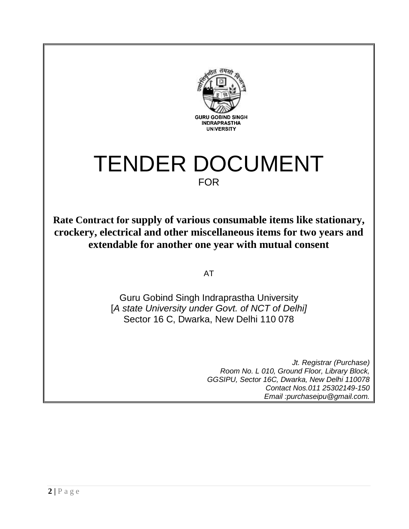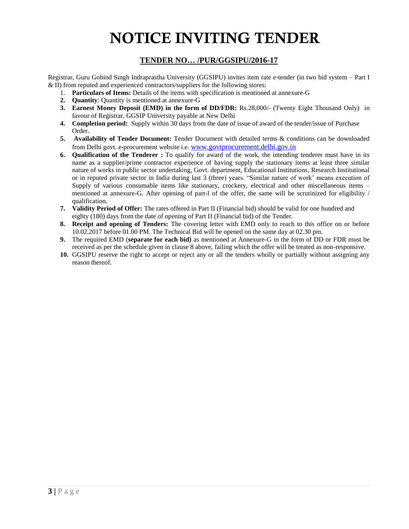# **NOTICE INVITING TENDER**

## **TENDER NO… /PUR/GGSIPU/2016-17**

Registrar, Guru Gobind Singh Indraprastha University (GGSIPU) invites item rate e-tender (in two bid system – Part I & II) from reputed and experienced contractors/suppliers for the following stores:

- 1. **Particulars of Items:** Details of the items with specification is mentioned at annexure-G
- **2. Quantity**: Quantity is mentioned at annexure-G
- **3. Earnest Money Deposit (EMD) in the form of DD/FDR:** Rs.28,000/- (Twenty Eight Thousand Only) in favour of Registrar, GGSIP University payable at New Delhi
- **4. Completion period:** Supply within 30 days from the date of issue of award of the tender/issue of Purchase Order.
- **5. Availability of Tender Document:** Tender Document with detailed terms & conditions can be downloaded from Delhi govt. e-procurement website i.e. [www.govtprocurement.delhi.gov.in](http://www.govtprocurement.delhi..gov.in/)
- **6. Qualification of the Tenderer :** To qualify for award of the work, the intending tenderer must have in its name as a supplier/prime contractor experience of having supply the stationary items at least three similar nature of works in public sector undertaking, Govt. department, Educational Institutions, Research Institutional or in reputed private sector in India during last 3 (three) years. "Similar nature of work' means execution of Supply of various consumable items like stationary, crockery, electrical and other miscellaneous items – mentioned at annexure-G. After opening of part-l of the offer, the same will be scrutinized for eligibility / qualification.
- **7. Validity Period of Offer:** The rates offered in Part II (Financial bid) should be valid for one hundred and eighty (180) days from the date of opening of Part II (Financial bid) of the Tender.
- **8. Receipt and opening of Tenders:** The covering letter with EMD only to reach to this office on or before 10.02.2017 before 01.00 PM. The Technical Bid will be opened on the same day at 02.30 pm.
- **9.** The required EMD (**separate for each bid)** as mentioned at Annexure-G in the form of DD or FDR must be received as per the schedule given in clause 8 above, failing which the offer will be treated as non-responsive.
- **10.** GGSIPU reserve the right to accept or reject any or all the tenders wholly or partially without assigning any reason thereof.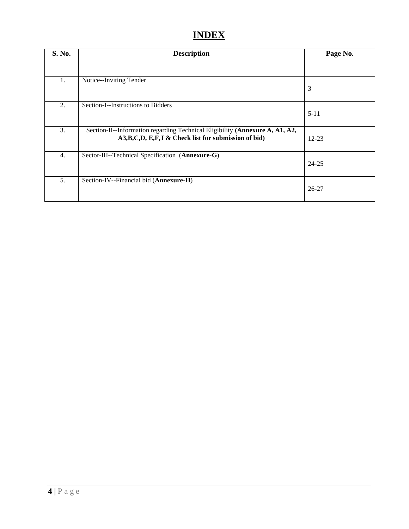# **INDEX**

| S. No.           | <b>Description</b>                                                                                                                       | Page No.  |
|------------------|------------------------------------------------------------------------------------------------------------------------------------------|-----------|
|                  |                                                                                                                                          |           |
| 1.               | Notice--Inviting Tender                                                                                                                  | 3         |
| 2.               | Section-I--Instructions to Bidders                                                                                                       | $5 - 11$  |
| 3.               | Section-II--Information regarding Technical Eligibility (Annexure A, A1, A2,<br>A3, B, C, D, E, F, J & Check list for submission of bid) | $12 - 23$ |
| $\overline{4}$ . | Sector-III--Technical Specification (Annexure-G)                                                                                         | 24-25     |
| 5.               | Section-IV--Financial bid (Annexure-H)                                                                                                   | $26 - 27$ |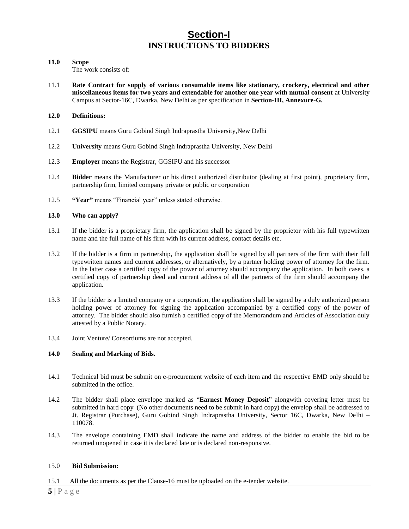# **Section-I INSTRUCTIONS TO BIDDERS**

#### **11.0 Scope**

The work consists of:

- 11.1 **Rate Contract for supply of various consumable items like stationary, crockery, electrical and other miscellaneous items for two years and extendable for another one year with mutual consent** at University Campus at Sector-16C, Dwarka, New Delhi as per specification in **Section-III, Annexure-G.**
- **12.0 Definitions:**
- 12.1 **GGSIPU** means Guru Gobind Singh Indraprastha University,New Delhi
- 12.2 **University** means Guru Gobind Singh Indraprastha University, New Delhi
- 12.3 **Employer** means the Registrar, GGSIPU and his successor
- 12.4 **Bidder** means the Manufacturer or his direct authorized distributor (dealing at first point), proprietary firm, partnership firm, limited company private or public or corporation
- 12.5 **"Year"** means "Financial year" unless stated otherwise.

#### **13.0 Who can apply?**

- 13.1 If the bidder is a proprietary firm, the application shall be signed by the proprietor with his full typewritten name and the full name of his firm with its current address, contact details etc.
- 13.2 If the bidder is a firm in partnership, the application shall be signed by all partners of the firm with their full typewritten names and current addresses, or alternatively, by a partner holding power of attorney for the firm. In the latter case a certified copy of the power of attorney should accompany the application. In both cases, a certified copy of partnership deed and current address of all the partners of the firm should accompany the application.
- 13.3 If the bidder is a limited company or a corporation, the application shall be signed by a duly authorized person holding power of attorney for signing the application accompanied by a certified copy of the power of attorney. The bidder should also furnish a certified copy of the Memorandum and Articles of Association duly attested by a Public Notary.
- 13.4 Joint Venture/ Consortiums are not accepted.

#### **14.0 Sealing and Marking of Bids.**

- 14.1 Technical bid must be submit on e-procurement website of each item and the respective EMD only should be submitted in the office.
- 14.2 The bidder shall place envelope marked as "**Earnest Money Deposit**" alongwith covering letter must be submitted in hard copy (No other documents need to be submit in hard copy) the envelop shall be addressed to Jt. Registrar (Purchase), Guru Gobind Singh Indraprastha University, Sector 16C, Dwarka, New Delhi – 110078.
- 14.3 The envelope containing EMD shall indicate the name and address of the bidder to enable the bid to be returned unopened in case it is declared late or is declared non-responsive.

#### 15.0 **Bid Submission:**

15.1 All the documents as per the Clause-16 must be uploaded on the e-tender website.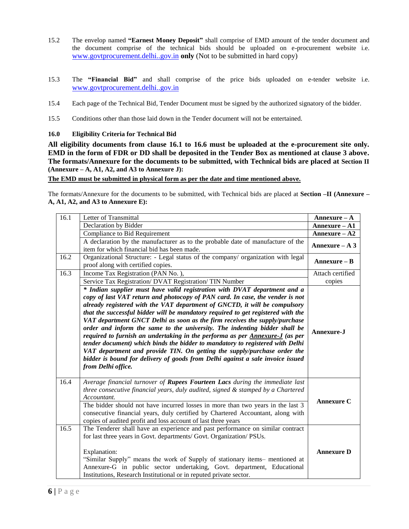- 15.2 The envelop named **"Earnest Money Deposit"** shall comprise of EMD amount of the tender document and the document comprise of the technical bids should be uploaded on e-procurement website i.e. [www.govtprocurement.delhi..gov.in](http://www.govtprocurement.delhi..gov.in/) **only** (Not to be submitted in hard copy)
- 15.3 The **"Financial Bid"** and shall comprise of the price bids uploaded on e-tender website i.e. [www.govtprocurement.delhi..gov.in](http://www.govtprocurement.delhi..gov.in/)
- 15.4 Each page of the Technical Bid, Tender Document must be signed by the authorized signatory of the bidder.
- 15.5 Conditions other than those laid down in the Tender document will not be entertained.

**16.0 Eligibility Criteria for Technical Bid**

**All eligibility documents from clause 16.1 to 16.6 must be uploaded at the e-procurement site only. EMD in the form of FDR or DD shall be deposited in the Tender Box as mentioned at clause 3 above. The formats/Annexure for the documents to be submitted, with Technical bids are placed at Section II (Annexure – A, A1, A2, and A3 to Annexure J):** 

**The EMD must be submitted in physical form as per the date and time mentioned above.**

The formats/Annexure for the documents to be submitted, with Technical bids are placed at **Section –II (Annexure – A, A1, A2, and A3 to Annexure E):** 

| 16.1 | Letter of Transmittal                                                                                                                                                                                                                                                                                                                                                                                                                                                                                                                                                                                                                                                                                                                                                                                                                         | $Annexure - A$    |
|------|-----------------------------------------------------------------------------------------------------------------------------------------------------------------------------------------------------------------------------------------------------------------------------------------------------------------------------------------------------------------------------------------------------------------------------------------------------------------------------------------------------------------------------------------------------------------------------------------------------------------------------------------------------------------------------------------------------------------------------------------------------------------------------------------------------------------------------------------------|-------------------|
|      | Declaration by Bidder                                                                                                                                                                                                                                                                                                                                                                                                                                                                                                                                                                                                                                                                                                                                                                                                                         | Annexure - A1     |
|      | <b>Compliance to Bid Requirement</b>                                                                                                                                                                                                                                                                                                                                                                                                                                                                                                                                                                                                                                                                                                                                                                                                          | $Annexure - A2$   |
|      | A declaration by the manufacturer as to the probable date of manufacture of the<br>item for which financial bid has been made.                                                                                                                                                                                                                                                                                                                                                                                                                                                                                                                                                                                                                                                                                                                | Annexure $- A 3 $ |
| 16.2 | Organizational Structure: - Legal status of the company/ organization with legal<br>proof along with certified copies.                                                                                                                                                                                                                                                                                                                                                                                                                                                                                                                                                                                                                                                                                                                        | $Annexure - B$    |
| 16.3 | Income Tax Registration (PAN No.).                                                                                                                                                                                                                                                                                                                                                                                                                                                                                                                                                                                                                                                                                                                                                                                                            | Attach certified  |
|      | Service Tax Registration/ DVAT Registration/ TIN Number                                                                                                                                                                                                                                                                                                                                                                                                                                                                                                                                                                                                                                                                                                                                                                                       | copies            |
|      | * Indian supplier must have valid registration with DVAT department and a<br>copy of last VAT return and photocopy of PAN card. In case, the vender is not<br>already registered with the VAT department of GNCTD, it will be compulsory<br>that the successful bidder will be mandatory required to get registered with the<br>VAT department GNCT Delhi as soon as the firm receives the supply/purchase<br>order and inform the same to the university. The indenting bidder shall be<br>required to furnish an undertaking in the performa as per Annexure-J (as per<br>tender document) which binds the bidder to mandatory to registered with Delhi<br>VAT department and provide TIN. On getting the supply/purchase order the<br>bidder is bound for delivery of goods from Delhi against a sale invoice issued<br>from Delhi office. | Annexure-J        |
| 16.4 | Average financial turnover of Rupees Fourteen Lacs during the immediate last<br>three consecutive financial years, duly audited, signed & stamped by a Chartered<br>Accountant.<br>The bidder should not have incurred losses in more than two years in the last 3<br>consecutive financial years, duly certified by Chartered Accountant, along with<br>copies of audited profit and loss account of last three years                                                                                                                                                                                                                                                                                                                                                                                                                        | <b>Annexure C</b> |
| 16.5 | The Tenderer shall have an experience and past performance on similar contract<br>for last three years in Govt. departments/ Govt. Organization/ PSUs.<br>Explanation:<br>"Similar Supply" means the work of Supply of stationary items- mentioned at<br>Annexure-G in public sector undertaking, Govt. department, Educational<br>Institutions, Research Institutional or in reputed private sector.                                                                                                                                                                                                                                                                                                                                                                                                                                         | <b>Annexure D</b> |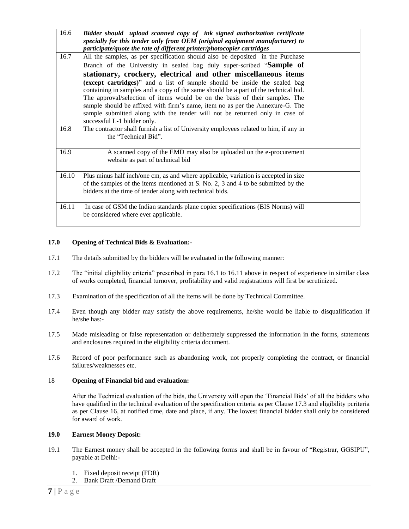| 16.6  | Bidder should upload scanned copy of ink signed authorization certificate             |  |
|-------|---------------------------------------------------------------------------------------|--|
|       | specially for this tender only from OEM (original equipment manufacturer) to          |  |
|       | participate/quote the rate of different printer/photocopier cartridges                |  |
| 16.7  | All the samples, as per specification should also be deposited in the Purchase        |  |
|       | Branch of the University in sealed bag duly super-scribed "Sample of                  |  |
|       | stationary, crockery, electrical and other miscellaneous items                        |  |
|       | (except cartridges)" and a list of sample should be inside the sealed bag             |  |
|       | containing in samples and a copy of the same should be a part of the technical bid.   |  |
|       | The approval/selection of items would be on the basis of their samples. The           |  |
|       | sample should be affixed with firm's name, item no as per the Annexure-G. The         |  |
|       | sample submitted along with the tender will not be returned only in case of           |  |
|       | successful L-1 bidder only.                                                           |  |
| 16.8  | The contractor shall furnish a list of University employees related to him, if any in |  |
|       | the "Technical Bid".                                                                  |  |
|       |                                                                                       |  |
| 16.9  | A scanned copy of the EMD may also be uploaded on the e-procurement                   |  |
|       | website as part of technical bid                                                      |  |
|       |                                                                                       |  |
| 16.10 | Plus minus half inch/one cm, as and where applicable, variation is accepted in size   |  |
|       | of the samples of the items mentioned at S. No. 2, 3 and 4 to be submitted by the     |  |
|       | bidders at the time of tender along with technical bids.                              |  |
|       |                                                                                       |  |
| 16.11 | In case of GSM the Indian standards plane copier specifications (BIS Norms) will      |  |
|       | be considered where ever applicable.                                                  |  |
|       |                                                                                       |  |

#### **17.0 Opening of Technical Bids & Evaluation:-**

- 17.1 The details submitted by the bidders will be evaluated in the following manner:
- 17.2 The "initial eligibility criteria" prescribed in para 16.1 to 16.11 above in respect of experience in similar class of works completed, financial turnover, profitability and valid registrations will first be scrutinized.
- 17.3 Examination of the specification of all the items will be done by Technical Committee.
- 17.4 Even though any bidder may satisfy the above requirements, he/she would be liable to disqualification if he/she has:-
- 17.5 Made misleading or false representation or deliberately suppressed the information in the forms, statements and enclosures required in the eligibility criteria document.
- 17.6 Record of poor performance such as abandoning work, not properly completing the contract, or financial failures/weaknesses etc.

#### 18 **Opening of Financial bid and evaluation:**

After the Technical evaluation of the bids, the University will open the 'Financial Bids' of all the bidders who have qualified in the technical evaluation of the specification criteria as per Clause 17.3 and eligibility pcriteria as per Clause 16, at notified time, date and place, if any. The lowest financial bidder shall only be considered for award of work.

#### **19.0 Earnest Money Deposit:**

- 19.1 The Earnest money shall be accepted in the following forms and shall be in favour of "Registrar, GGSIPU", payable at Delhi:-
	- 1. Fixed deposit receipt (FDR)
	- 2. Bank Draft /Demand Draft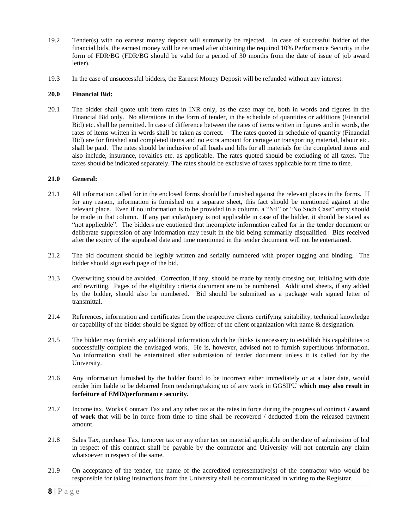- 19.2 Tender(s) with no earnest money deposit will summarily be rejected. In case of successful bidder of the financial bids, the earnest money will be returned after obtaining the required 10% Performance Security in the form of FDR/BG (FDR/BG should be valid for a period of 30 months from the date of issue of job award letter).
- 19.3 In the case of unsuccessful bidders, the Earnest Money Deposit will be refunded without any interest.

#### **20.0 Financial Bid:**

20.1 The bidder shall quote unit item rates in INR only, as the case may be, both in words and figures in the Financial Bid only. No alterations in the form of tender, in the schedule of quantities or additions (Financial Bid) etc. shall be permitted. In case of difference between the rates of items written in figures and in words, the rates of items written in words shall be taken as correct. The rates quoted in schedule of quantity (Financial Bid) are for finished and completed items and no extra amount for cartage or transporting material, labour etc. shall be paid. The rates should be inclusive of all loads and lifts for all materials for the completed items and also include, insurance, royalties etc. as applicable. The rates quoted should be excluding of all taxes. The taxes should be indicated separately. The rates should be exclusive of taxes applicable form time to time.

#### **21.0 General:**

- 21.1 All information called for in the enclosed forms should be furnished against the relevant places in the forms. If for any reason, information is furnished on a separate sheet, this fact should be mentioned against at the relevant place. Even if no information is to be provided in a column, a "Nil" or "No Such Case" entry should be made in that column. If any particular/query is not applicable in case of the bidder, it should be stated as "not applicable". The bidders are cautioned that incomplete information called for in the tender document or deliberate suppression of any information may result in the bid being summarily disqualified. Bids received after the expiry of the stipulated date and time mentioned in the tender document will not be entertained.
- 21.2 The bid document should be legibly written and serially numbered with proper tagging and binding. The bidder should sign each page of the bid.
- 21.3 Overwriting should be avoided. Correction, if any, should be made by neatly crossing out, initialing with date and rewriting. Pages of the eligibility criteria document are to be numbered. Additional sheets, if any added by the bidder, should also be numbered. Bid should be submitted as a package with signed letter of transmittal.
- 21.4 References, information and certificates from the respective clients certifying suitability, technical knowledge or capability of the bidder should be signed by officer of the client organization with name & designation.
- 21.5 The bidder may furnish any additional information which he thinks is necessary to establish his capabilities to successfully complete the envisaged work. He is, however, advised not to furnish superfluous information. No information shall be entertained after submission of tender document unless it is called for by the University.
- 21.6 Any information furnished by the bidder found to be incorrect either immediately or at a later date, would render him liable to be debarred from tendering/taking up of any work in GGSIPU **which may also result in forfeiture of EMD/performance security.**
- 21.7 Income tax, Works Contract Tax and any other tax at the rates in force during the progress of contract **/ award of work** that will be in force from time to time shall be recovered / deducted from the released payment amount.
- 21.8 Sales Tax, purchase Tax, turnover tax or any other tax on material applicable on the date of submission of bid in respect of this contract shall be payable by the contractor and University will not entertain any claim whatsoever in respect of the same.
- 21.9 On acceptance of the tender, the name of the accredited representative(s) of the contractor who would be responsible for taking instructions from the University shall be communicated in writing to the Registrar.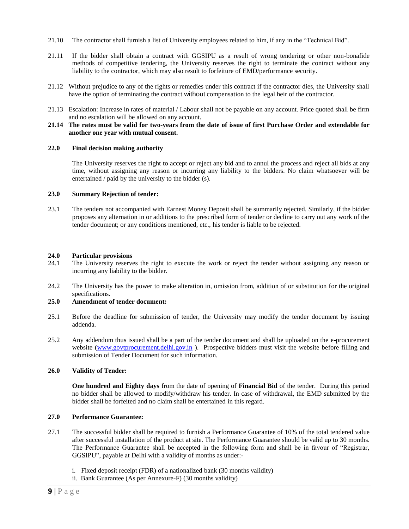- 21.10 The contractor shall furnish a list of University employees related to him, if any in the "Technical Bid".
- 21.11 If the bidder shall obtain a contract with GGSIPU as a result of wrong tendering or other non-bonafide methods of competitive tendering, the University reserves the right to terminate the contract without any liability to the contractor, which may also result to forfeiture of EMD/performance security.
- 21.12 Without prejudice to any of the rights or remedies under this contract if the contractor dies, the University shall have the option of terminating the contract without compensation to the legal heir of the contractor.
- 21.13 Escalation: Increase in rates of material / Labour shall not be payable on any account. Price quoted shall be firm and no escalation will be allowed on any account.

#### **21.14 The rates must be valid for two-years from the date of issue of first Purchase Order and extendable for another one year with mutual consent.**

#### **22.0 Final decision making authority**

The University reserves the right to accept or reject any bid and to annul the process and reject all bids at any time, without assigning any reason or incurring any liability to the bidders. No claim whatsoever will be entertained / paid by the university to the bidder (s).

#### **23.0 Summary Rejection of tender:**

23.1 The tenders not accompanied with Earnest Money Deposit shall be summarily rejected. Similarly, if the bidder proposes any alternation in or additions to the prescribed form of tender or decline to carry out any work of the tender document; or any conditions mentioned, etc., his tender is liable to be rejected.

#### **24.0 Particular provisions**

- 24.1 The University reserves the right to execute the work or reject the tender without assigning any reason or incurring any liability to the bidder.
- 24.2 The University has the power to make alteration in, omission from, addition of or substitution for the original specifications.

#### **25.0 Amendment of tender document:**

- 25.1 Before the deadline for submission of tender, the University may modify the tender document by issuing addenda.
- 25.2 Any addendum thus issued shall be a part of the tender document and shall be uploaded on the e-procurement website [\(www.govtprocurement.delhi.gov.in](http://www.govtprocurement.delhi.gov.in/)). Prospective bidders must visit the website before filling and submission of Tender Document for such information.

#### **26.0 Validity of Tender:**

**One hundred and Eighty days** from the date of opening of **Financial Bid** of the tender. During this period no bidder shall be allowed to modify/withdraw his tender. In case of withdrawal, the EMD submitted by the bidder shall be forfeited and no claim shall be entertained in this regard.

#### **27.0 Performance Guarantee:**

- 27.1 The successful bidder shall be required to furnish a Performance Guarantee of 10% of the total tendered value after successful installation of the product at site. The Performance Guarantee should be valid up to 30 months. The Performance Guarantee shall be accepted in the following form and shall be in favour of "Registrar, GGSIPU", payable at Delhi with a validity of months as under:
	- i. Fixed deposit receipt (FDR) of a nationalized bank (30 months validity)
	- ii. Bank Guarantee (As per Annexure-F) (30 months validity)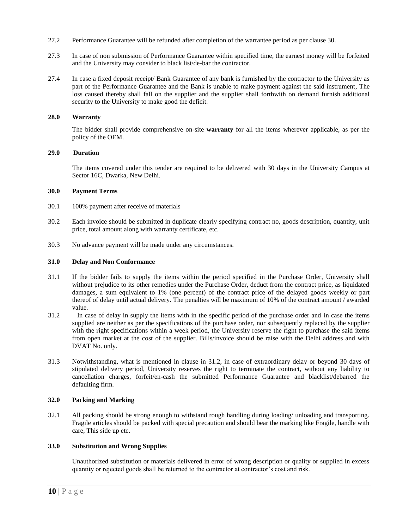- 27.2 Performance Guarantee will be refunded after completion of the warrantee period as per clause 30.
- 27.3 In case of non submission of Performance Guarantee within specified time, the earnest money will be forfeited and the University may consider to black list/de-bar the contractor.
- 27.4 In case a fixed deposit receipt/ Bank Guarantee of any bank is furnished by the contractor to the University as part of the Performance Guarantee and the Bank is unable to make payment against the said instrument, The loss caused thereby shall fall on the supplier and the supplier shall forthwith on demand furnish additional security to the University to make good the deficit.

#### **28.0 Warranty**

The bidder shall provide comprehensive on-site **warranty** for all the items wherever applicable, as per the policy of the OEM.

#### **29.0 Duration**

The items covered under this tender are required to be delivered with 30 days in the University Campus at Sector 16C, Dwarka, New Delhi.

#### **30.0 Payment Terms**

- 30.1 100% payment after receive of materials
- 30.2 Each invoice should be submitted in duplicate clearly specifying contract no, goods description, quantity, unit price, total amount along with warranty certificate, etc.
- 30.3 No advance payment will be made under any circumstances.

#### **31.0 Delay and Non Conformance**

- 31.1 If the bidder fails to supply the items within the period specified in the Purchase Order, University shall without prejudice to its other remedies under the Purchase Order, deduct from the contract price, as liquidated damages, a sum equivalent to 1% (one percent) of the contract price of the delayed goods weekly or part thereof of delay until actual delivery. The penalties will be maximum of 10% of the contract amount / awarded value.
- 31.2 In case of delay in supply the items with in the specific period of the purchase order and in case the items supplied are neither as per the specifications of the purchase order, nor subsequently replaced by the supplier with the right specifications within a week period, the University reserve the right to purchase the said items from open market at the cost of the supplier. Bills/invoice should be raise with the Delhi address and with DVAT No. only.
- 31.3 Notwithstanding, what is mentioned in clause in 31.2, in case of extraordinary delay or beyond 30 days of stipulated delivery period, University reserves the right to terminate the contract, without any liability to cancellation charges, forfeit/en-cash the submitted Performance Guarantee and blacklist/debarred the defaulting firm.

#### **32.0 Packing and Marking**

32.1 All packing should be strong enough to withstand rough handling during loading/ unloading and transporting. Fragile articles should be packed with special precaution and should bear the marking like Fragile, handle with care, This side up etc.

#### **33.0 Substitution and Wrong Supplies**

Unauthorized substitution or materials delivered in error of wrong description or quality or supplied in excess quantity or rejected goods shall be returned to the contractor at contractor's cost and risk.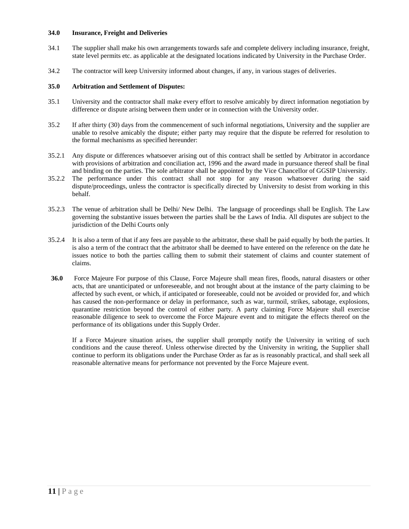#### **34.0 Insurance, Freight and Deliveries**

- 34.1 The supplier shall make his own arrangements towards safe and complete delivery including insurance, freight, state level permits etc. as applicable at the designated locations indicated by University in the Purchase Order.
- 34.2 The contractor will keep University informed about changes, if any, in various stages of deliveries.

#### **35.0 Arbitration and Settlement of Disputes:**

- 35.1 University and the contractor shall make every effort to resolve amicably by direct information negotiation by difference or dispute arising between them under or in connection with the University order.
- 35.2 If after thirty (30) days from the commencement of such informal negotiations, University and the supplier are unable to resolve amicably the dispute; either party may require that the dispute be referred for resolution to the formal mechanisms as specified hereunder:
- 35.2.1 Any dispute or differences whatsoever arising out of this contract shall be settled by Arbitrator in accordance with provisions of arbitration and conciliation act, 1996 and the award made in pursuance thereof shall be final and binding on the parties. The sole arbitrator shall be appointed by the Vice Chancellor of GGSIP University.
- 35.2.2 The performance under this contract shall not stop for any reason whatsoever during the said dispute/proceedings, unless the contractor is specifically directed by University to desist from working in this behalf.
- 35.2.3 The venue of arbitration shall be Delhi/ New Delhi. The language of proceedings shall be English. The Law governing the substantive issues between the parties shall be the Laws of India. All disputes are subject to the jurisdiction of the Delhi Courts only
- 35.2.4 It is also a term of that if any fees are payable to the arbitrator, these shall be paid equally by both the parties. It is also a term of the contract that the arbitrator shall be deemed to have entered on the reference on the date he issues notice to both the parties calling them to submit their statement of claims and counter statement of claims.
- **36.0** Force Majeure For purpose of this Clause, Force Majeure shall mean fires, floods, natural disasters or other acts, that are unanticipated or unforeseeable, and not brought about at the instance of the party claiming to be affected by such event, or which, if anticipated or foreseeable, could not be avoided or provided for, and which has caused the non-performance or delay in performance, such as war, turmoil, strikes, sabotage, explosions, quarantine restriction beyond the control of either party. A party claiming Force Majeure shall exercise reasonable diligence to seek to overcome the Force Majeure event and to mitigate the effects thereof on the performance of its obligations under this Supply Order.

If a Force Majeure situation arises, the supplier shall promptly notify the University in writing of such conditions and the cause thereof. Unless otherwise directed by the University in writing, the Supplier shall continue to perform its obligations under the Purchase Order as far as is reasonably practical, and shall seek all reasonable alternative means for performance not prevented by the Force Majeure event.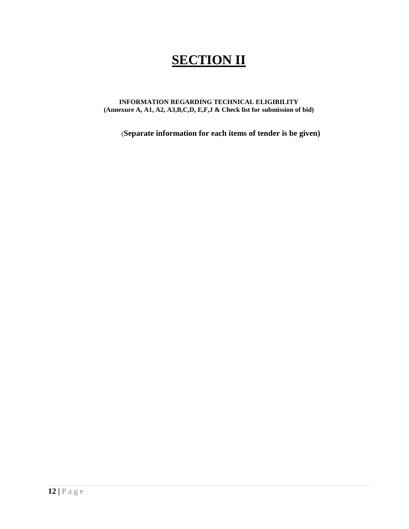# **SECTION II**

#### **INFORMATION REGARDING TECHNICAL ELIGIBILITY (Annexure A, A1, A2, A3,B,C,D, E,F,J & Check list for submission of bid)**

(**Separate information for each items of tender is be given)**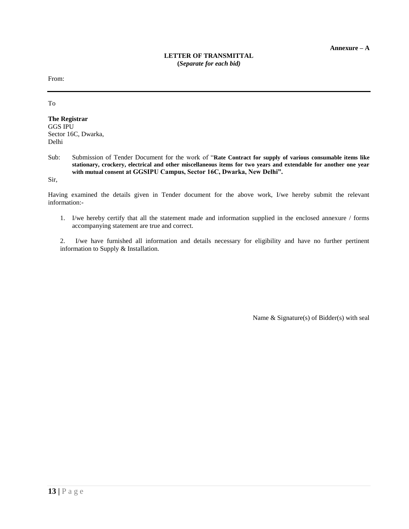From:

To

**The Registrar** GGS IPU Sector 16C, Dwarka, Delhi

Sub: Submission of Tender Document for the work of "**Rate Contract for supply of various consumable items like stationary, crockery, electrical and other miscellaneous items for two years and extendable for another one year with mutual consent at GGSIPU Campus, Sector 16C, Dwarka, New Delhi".**

Sir,

Having examined the details given in Tender document for the above work, I/we hereby submit the relevant information:-

1. I/we hereby certify that all the statement made and information supplied in the enclosed annexure / forms accompanying statement are true and correct.

2. I/we have furnished all information and details necessary for eligibility and have no further pertinent information to Supply & Installation.

Name & Signature(s) of Bidder(s) with seal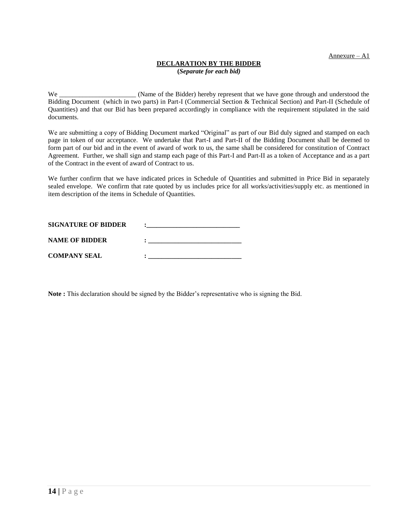Annexure – A1

### **DECLARATION BY THE BIDDER**

**(***Separate for each bid)*

We \_\_\_\_\_\_\_\_\_\_\_\_\_\_\_\_\_\_\_\_\_\_\_\_\_ (Name of the Bidder) hereby represent that we have gone through and understood the Bidding Document (which in two parts) in Part-I (Commercial Section & Technical Section) and Part-II (Schedule of Quantities) and that our Bid has been prepared accordingly in compliance with the requirement stipulated in the said documents.

We are submitting a copy of Bidding Document marked "Original" as part of our Bid duly signed and stamped on each page in token of our acceptance. We undertake that Part-I and Part-II of the Bidding Document shall be deemed to form part of our bid and in the event of award of work to us, the same shall be considered for constitution of Contract Agreement. Further, we shall sign and stamp each page of this Part-I and Part-II as a token of Acceptance and as a part of the Contract in the event of award of Contract to us.

We further confirm that we have indicated prices in Schedule of Quantities and submitted in Price Bid in separately sealed envelope. We confirm that rate quoted by us includes price for all works/activities/supply etc. as mentioned in item description of the items in Schedule of Quantities.

| <b>SIGNATURE OF BIDDER</b> |  |
|----------------------------|--|
| <b>NAME OF BIDDER</b>      |  |
| <b>COMPANY SEAL</b>        |  |

**Note :** This declaration should be signed by the Bidder's representative who is signing the Bid.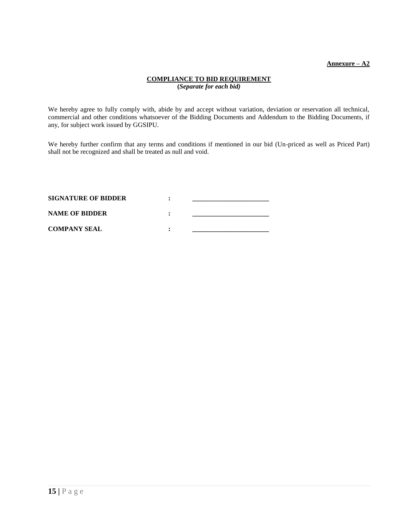#### **Annexure – A2**

#### **COMPLIANCE TO BID REQUIREMENT (***Separate for each bid)*

We hereby agree to fully comply with, abide by and accept without variation, deviation or reservation all technical, commercial and other conditions whatsoever of the Bidding Documents and Addendum to the Bidding Documents, if any, for subject work issued by GGSIPU.

We hereby further confirm that any terms and conditions if mentioned in our bid (Un-priced as well as Priced Part) shall not be recognized and shall be treated as null and void.

| <b>SIGNATURE OF BIDDER</b> |  |
|----------------------------|--|
| <b>NAME OF BIDDER</b>      |  |
| <b>COMPANY SEAL</b>        |  |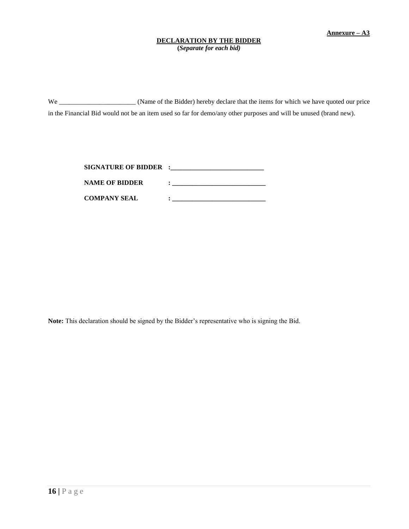#### **DECLARATION BY THE BIDDER**

**(***Separate for each bid)*

We \_\_\_\_\_\_\_\_\_\_\_\_\_\_\_\_\_\_\_\_\_\_\_\_ (Name of the Bidder) hereby declare that the items for which we have quoted our price in the Financial Bid would not be an item used so far for demo/any other purposes and will be unused (brand new).

| <b>SIGNATURE OF BIDDER :</b> |  |
|------------------------------|--|
| <b>NAME OF BIDDER</b>        |  |
| <b>COMPANY SEAL</b>          |  |

**Note:** This declaration should be signed by the Bidder's representative who is signing the Bid.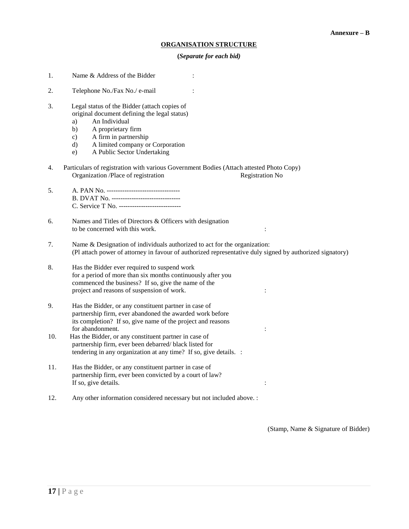#### **ORGANISATION STRUCTURE**

#### **(***Separate for each bid)*

- 1. Name & Address of the Bidder :
- 2. Telephone No./Fax No./ e-mail :
- 3. Legal status of the Bidder (attach copies of original document defining the legal status)
	- a) An Individual
	- b) A proprietary firm
	- c) A firm in partnership
	- d) A limited company or Corporation
	- e) A Public Sector Undertaking
- 4. Particulars of registration with various Government Bodies (Attach attested Photo Copy) Organization /Place of registration Registration No
- 5. A. PAN No. --------------------------------- B. DVAT No. ------------------------------- C. Service T No. ----------------------------
- 6. Names and Titles of Directors & Officers with designation to be concerned with this work. :
- 7. Name & Designation of individuals authorized to act for the organization: (Pl attach power of attorney in favour of authorized representative duly signed by authorized signatory)
- 8. Has the Bidder ever required to suspend work for a period of more than six months continuously after you commenced the business? If so, give the name of the project and reasons of suspension of work.  $\cdot$  :
- 9. Has the Bidder, or any constituent partner in case of partnership firm, ever abandoned the awarded work before its completion? If so, give name of the project and reasons for abandonment.
- 10. Has the Bidder, or any constituent partner in case of partnership firm, ever been debarred/ black listed for tendering in any organization at any time? If so, give details. :
- 11. Has the Bidder, or any constituent partner in case of partnership firm, ever been convicted by a court of law? If so, give details.
- 12. Any other information considered necessary but not included above. :

(Stamp, Name & Signature of Bidder)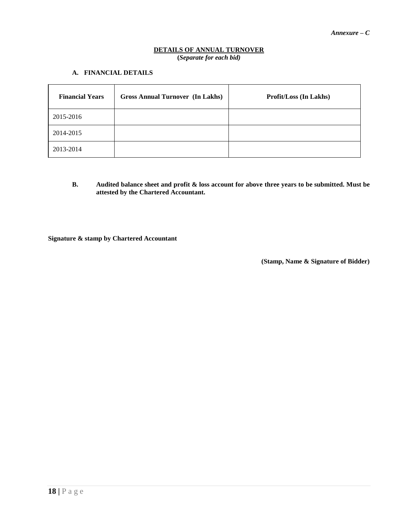#### **DETAILS OF ANNUAL TURNOVER (***Separate for each bid)*

#### **A. FINANCIAL DETAILS**

| <b>Financial Years</b> | <b>Gross Annual Turnover (In Lakhs)</b> | <b>Profit/Loss (In Lakhs)</b> |
|------------------------|-----------------------------------------|-------------------------------|
| 2015-2016              |                                         |                               |
| 2014-2015              |                                         |                               |
| 2013-2014              |                                         |                               |

**B. Audited balance sheet and profit & loss account for above three years to be submitted. Must be attested by the Chartered Accountant.**

**Signature & stamp by Chartered Accountant**

 **(Stamp, Name & Signature of Bidder)**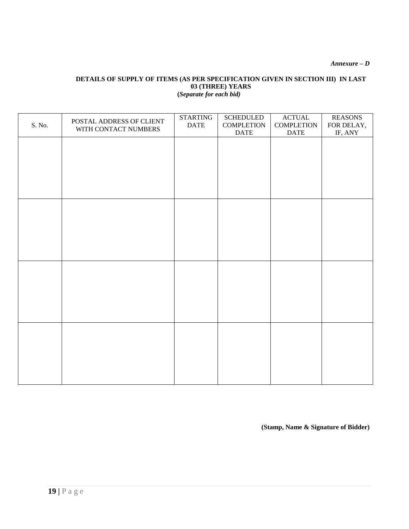*Annexure – D*

#### **DETAILS OF SUPPLY OF ITEMS (AS PER SPECIFICATION GIVEN IN SECTION III) IN LAST 03 (THREE) YEARS (***Separate for each bid)*

| S. No. | POSTAL ADDRESS OF CLIENT<br>WITH CONTACT NUMBERS | <b>STARTING</b><br><b>DATE</b> | <b>SCHEDULED</b><br><b>COMPLETION</b><br><b>DATE</b> | <b>ACTUAL</b><br><b>COMPLETION</b><br><b>DATE</b> | <b>REASONS</b><br>FOR DELAY,<br>IF, ANY |
|--------|--------------------------------------------------|--------------------------------|------------------------------------------------------|---------------------------------------------------|-----------------------------------------|
|        |                                                  |                                |                                                      |                                                   |                                         |
|        |                                                  |                                |                                                      |                                                   |                                         |
|        |                                                  |                                |                                                      |                                                   |                                         |
|        |                                                  |                                |                                                      |                                                   |                                         |
|        |                                                  |                                |                                                      |                                                   |                                         |
|        |                                                  |                                |                                                      |                                                   |                                         |
|        |                                                  |                                |                                                      |                                                   |                                         |
|        |                                                  |                                |                                                      |                                                   |                                         |
|        |                                                  |                                |                                                      |                                                   |                                         |
|        |                                                  |                                |                                                      |                                                   |                                         |
|        |                                                  |                                |                                                      |                                                   |                                         |
|        |                                                  |                                |                                                      |                                                   |                                         |
|        |                                                  |                                |                                                      |                                                   |                                         |

**(Stamp, Name & Signature of Bidder)**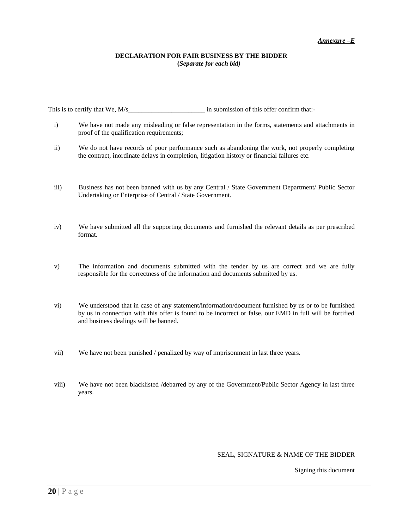#### **DECLARATION FOR FAIR BUSINESS BY THE BIDDER (***Separate for each bid)*

This is to certify that We, M/s\_\_\_\_\_\_\_\_\_\_\_\_\_\_\_\_\_\_\_\_\_\_\_ in submission of this offer confirm that:-

- i) We have not made any misleading or false representation in the forms, statements and attachments in proof of the qualification requirements;
- ii) We do not have records of poor performance such as abandoning the work, not properly completing the contract, inordinate delays in completion, litigation history or financial failures etc.
- iii) Business has not been banned with us by any Central / State Government Department/ Public Sector Undertaking or Enterprise of Central / State Government.
- iv) We have submitted all the supporting documents and furnished the relevant details as per prescribed format.
- v) The information and documents submitted with the tender by us are correct and we are fully responsible for the correctness of the information and documents submitted by us.
- vi) We understood that in case of any statement/information/document furnished by us or to be furnished by us in connection with this offer is found to be incorrect or false, our EMD in full will be fortified and business dealings will be banned.
- vii) We have not been punished / penalized by way of imprisonment in last three years.
- viii) We have not been blacklisted /debarred by any of the Government/Public Sector Agency in last three years.

#### SEAL, SIGNATURE & NAME OF THE BIDDER

Signing this document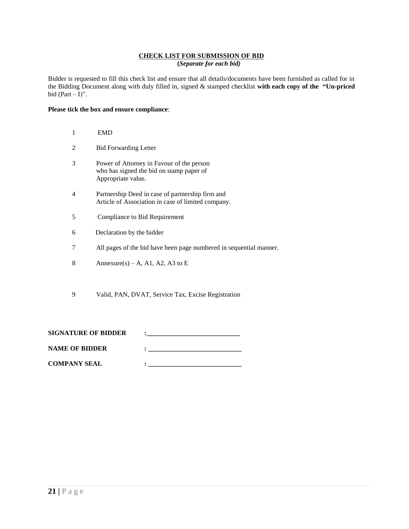#### **CHECK LIST FOR SUBMISSION OF BID (***Separate for each bid)*

Bidder is requested to fill this check list and ensure that all details/documents have been furnished as called for in the Bidding Document along with duly filled in, signed & stamped checklist **with each copy of the "Un-priced**  bid  $(Part - I)$ ".

#### **Please tick the box and ensure compliance**:

| 1                           | <b>EMD</b>                                                                                                  |
|-----------------------------|-------------------------------------------------------------------------------------------------------------|
| $\mathcal{D}_{\mathcal{L}}$ | <b>Bid Forwarding Letter</b>                                                                                |
| 3                           | Power of Attorney in Favour of the person<br>who has signed the bid on stamp paper of<br>Appropriate value. |
| 4                           | Partnership Deed in case of partnership firm and<br>Article of Association in case of limited company.      |
| 5                           | Compliance to Bid Requirement                                                                               |
| 6                           | Declaration by the bidder                                                                                   |
| 7                           | All pages of the bid have been page numbered in sequential manner.                                          |
| 8                           | Annexure(s) – A, A1, A2, A3 to E                                                                            |

9 Valid, PAN, DVAT, Service Tax, Excise Registration

| <b>SIGNATURE OF BIDDER</b> |  |
|----------------------------|--|
| <b>NAME OF BIDDER</b>      |  |

**COMPANY SEAL**  $\qquad \qquad :$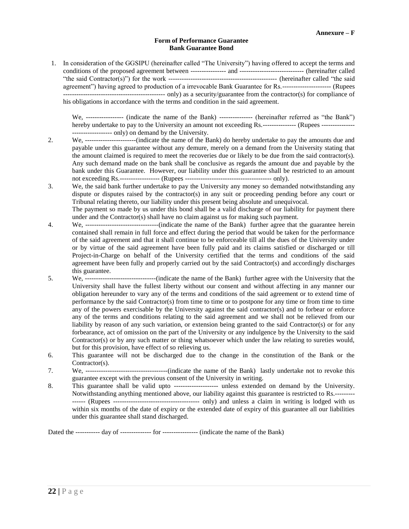#### **Form of Performance Guarantee Bank Guarantee Bond**

1. In consideration of the GGSIPU (hereinafter called "The University") having offered to accept the terms and conditions of the proposed agreement between ---------------- and ----------------------------- (hereinafter called "the said Contractor(s)") for the work ------------------------------------------------- (hereinafter called "the said agreement") having agreed to production of a irrevocable Bank Guarantee for Rs.---------------------- (Rupees ---------------------------------------------- only) as a security/guarantee from the contractor(s) for compliance of his obligations in accordance with the terms and condition in the said agreement.

We, ----------------- (indicate the name of the Bank) --------------- (hereinafter referred as "the Bank") hereby undertake to pay to the University an amount not exceeding Rs.--------------- (Rupees ---------------------------------- only) on demand by the University.

- 2. We, -----------------------(indicate the name of the Bank) do hereby undertake to pay the amounts due and payable under this guarantee without any demure, merely on a demand from the University stating that the amount claimed is required to meet the recoveries due or likely to be due from the said contractor(s). Any such demand made on the bank shall be conclusive as regards the amount due and payable by the bank under this Guarantee. However, our liability under this guarantee shall be restricted to an amount not exceeding Rs.------------------ (Rupees --------------------------------------- only).
- 3. We, the said bank further undertake to pay the University any money so demanded notwithstanding any dispute or disputes raised by the contractor(s) in any suit or proceeding pending before any court or Tribunal relating thereto, our liability under this present being absolute and unequivocal.

The payment so made by us under this bond shall be a valid discharge of our liability for payment there under and the Contractor(s) shall have no claim against us for making such payment.

- 4. We, ---------------------------------(indicate the name of the Bank) further agree that the guarantee herein contained shall remain in full force and effect during the period that would be taken for the performance of the said agreement and that it shall continue to be enforceable till all the dues of the University under or by virtue of the said agreement have been fully paid and its claims satisfied or discharged or till Project-in-Charge on behalf of the University certified that the terms and conditions of the said agreement have been fully and properly carried out by the said Contractor(s) and accordingly discharges this guarantee.
- 5. We, --------------------------------(indicate the name of the Bank) further agree with the University that the University shall have the fullest liberty without our consent and without affecting in any manner our obligation hereunder to vary any of the terms and conditions of the said agreement or to extend time of performance by the said Contractor(s) from time to time or to postpone for any time or from time to time any of the powers exercisable by the University against the said contractor(s) and to forbear or enforce any of the terms and conditions relating to the said agreement and we shall not be relieved from our liability by reason of any such variation, or extension being granted to the said Contractor(s) or for any forbearance, act of omission on the part of the University or any indulgence by the University to the said Contractor(s) or by any such matter or thing whatsoever which under the law relating to sureties would, but for this provision, have effect of so relieving us.
- 6. This guarantee will not be discharged due to the change in the constitution of the Bank or the Contractor(s).
- 7. We, -------------------------------------(indicate the name of the Bank) lastly undertake not to revoke this guarantee except with the previous consent of the University in writing.
- 8. This guarantee shall be valid upto -------------------- unless extended on demand by the University. Notwithstanding anything mentioned above, our liability against this guarantee is restricted to Rs.--------- ------ (Rupees --------------------------------------- only) and unless a claim in writing is lodged with us within six months of the date of expiry or the extended date of expiry of this guarantee all our liabilities under this guarantee shall stand discharged.

Dated the ----------- day of -------------- for ---------------- (indicate the name of the Bank)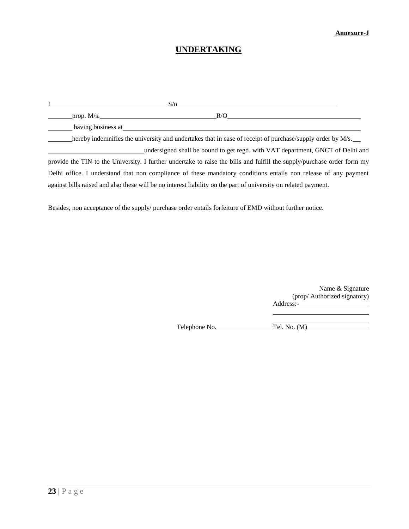#### **Annexure-J**

# **UNDERTAKING**

|                    | $S/\sigma$                                                                                                              |  |
|--------------------|-------------------------------------------------------------------------------------------------------------------------|--|
| prop. $M/s$ .      | R/O                                                                                                                     |  |
| having business at |                                                                                                                         |  |
|                    | hereby indemnifies the university and undertakes that in case of receipt of purchase/supply order by M/s.               |  |
|                    | undersigned shall be bound to get regd. with VAT department, GNCT of Delhi and                                          |  |
|                    | provide the TIN to the University. I further undertake to raise the bills and fulfill the supply/purchase order form my |  |
|                    | Delhi office. I understand that non compliance of these mandatory conditions entails non release of any payment         |  |
|                    | against bills raised and also these will be no interest liability on the part of university on related payment.         |  |

Besides, non acceptance of the supply/ purchase order entails forfeiture of EMD without further notice.

Name & Signature (prop/ Authorized signatory) Address:-

<u> 1989 - Johann Barbara, martin a</u>

Telephone No. Tel. No. (M)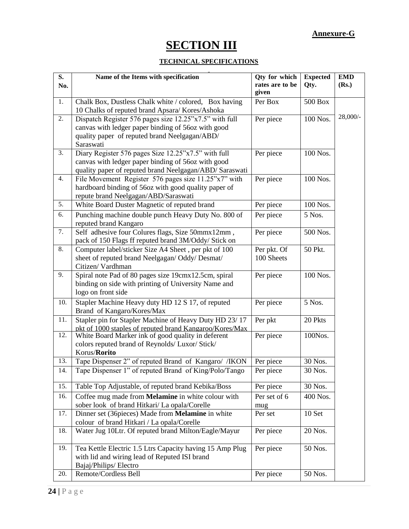### **Annexure-G**

# **SECTION III**

### **TECHNICAL SPECIFICATIONS**

| S.  | Name of the Items with specification                                                                          | Qty for which            | <b>Expected</b> | <b>EMD</b> |
|-----|---------------------------------------------------------------------------------------------------------------|--------------------------|-----------------|------------|
| No. |                                                                                                               | rates are to be<br>given | Qty.            | (Rs.)      |
| 1.  | Chalk Box, Dustless Chalk white / colored, Box having                                                         | Per Box                  | <b>500 Box</b>  |            |
|     | 10 Chalks of reputed brand Apsara/ Kores/Ashoka                                                               |                          |                 |            |
| 2.  | Dispatch Register 576 pages size 12.25"x7.5" with full                                                        | Per piece                | 100 Nos.        | 28,000/-   |
|     | canvas with ledger paper binding of 56oz with good                                                            |                          |                 |            |
|     | quality paper of reputed brand Neelgagan/ABD/                                                                 |                          |                 |            |
|     | Saraswati                                                                                                     |                          |                 |            |
| 3.  | Diary Register 576 pages Size 12.25"x7.5" with full                                                           | Per piece                | 100 Nos.        |            |
|     | canvas with ledger paper binding of 56oz with good                                                            |                          |                 |            |
|     | quality paper of reputed brand Neelgagan/ABD/ Saraswati                                                       |                          |                 |            |
| 4.  | File Movement Register 576 pages size 11.25"x7" with                                                          | Per piece                | 100 Nos.        |            |
|     | hardboard binding of 56oz with good quality paper of<br>repute brand Neelgagan/ABD/Saraswati                  |                          |                 |            |
| 5.  | White Board Duster Magnetic of reputed brand                                                                  | Per piece                | 100 Nos.        |            |
| 6.  |                                                                                                               |                          |                 |            |
|     | Punching machine double punch Heavy Duty No. 800 of<br>reputed brand Kangaro                                  | Per piece                | 5 Nos.          |            |
| 7.  | Self adhesive four Colures flags, Size 50mmx12mm,                                                             | Per piece                | 500 Nos.        |            |
|     | pack of 150 Flags ff reputed brand 3M/Oddy/ Stick on                                                          |                          |                 |            |
| 8.  | Computer label/sticker Size A4 Sheet, per pkt of 100                                                          | Per pkt. Of              | 50 Pkt.         |            |
|     | sheet of reputed brand Neelgagan/ Oddy/ Desmat/                                                               | 100 Sheets               |                 |            |
|     | Citizen/Vardhman                                                                                              |                          |                 |            |
| 9.  | Spiral note Pad of 80 pages size 19cmx12.5cm, spiral                                                          | Per piece                | 100 Nos.        |            |
|     | binding on side with printing of University Name and                                                          |                          |                 |            |
|     | logo on front side                                                                                            |                          |                 |            |
| 10. | Stapler Machine Heavy duty HD 12 S 17, of reputed                                                             | Per piece                | 5 Nos.          |            |
|     | Brand of Kangaro/Kores/Max                                                                                    |                          |                 |            |
| 11. | Stapler pin for Stapler Machine of Heavy Duty HD 23/17                                                        | Per pkt                  | 20 Pkts         |            |
| 12. | pkt of 1000 staples of reputed brand Kangaroo/Kores/Max<br>White Board Marker ink of good quality in deferent | Per piece                | 100Nos.         |            |
|     | colors reputed brand of Reynolds/ Luxor/ Stick/                                                               |                          |                 |            |
|     | Korus/ <b>Rorito</b>                                                                                          |                          |                 |            |
| 13. | Tape Dispenser 2" of reputed Brand of Kangaro/ /IKON                                                          | Per piece                | 30 Nos.         |            |
| 14. | Tape Dispenser 1" of reputed Brand of King/Polo/Tango                                                         | Per piece                | 30 Nos.         |            |
|     |                                                                                                               |                          |                 |            |
| 15. | Table Top Adjustable, of reputed brand Kebika/Boss                                                            | Per piece                | 30 Nos.         |            |
| 16. | Coffee mug made from Melamine in white colour with                                                            | Per set of 6             | 400 Nos.        |            |
|     | sober look of brand Hitkari/ La opala/Corelle                                                                 | mug                      |                 |            |
| 17. | Dinner set (36pieces) Made from Melamine in white                                                             | Per set                  | 10 Set          |            |
| 18. | colour of brand Hitkari / La opala/Corelle<br>Water Jug 10Ltr. Of reputed brand Milton/Eagle/Mayur            |                          |                 |            |
|     |                                                                                                               | Per piece                | 20 Nos.         |            |
| 19. | Tea Kettle Electric 1.5 Ltrs Capacity having 15 Amp Plug                                                      | Per piece                | 50 Nos.         |            |
|     | with lid and wiring lead of Reputed ISI brand                                                                 |                          |                 |            |
|     | Bajaj/Philips/ Electro                                                                                        |                          |                 |            |
| 20. | Remote/Cordless Bell                                                                                          | Per piece                | 50 Nos.         |            |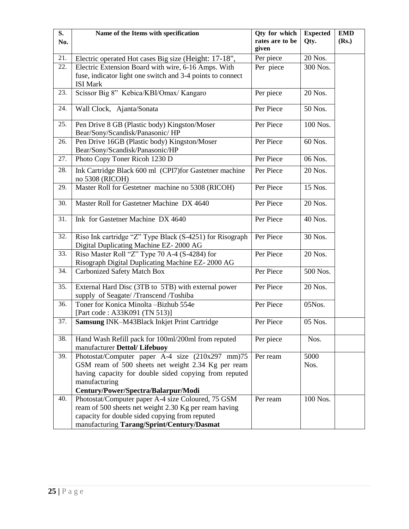| S.<br>No. | Name of the Items with specification                                                                                                                                                                                    | Qty for which<br>rates are to be | <b>Expected</b><br>Qty. | <b>EMD</b><br>(Rs.) |
|-----------|-------------------------------------------------------------------------------------------------------------------------------------------------------------------------------------------------------------------------|----------------------------------|-------------------------|---------------------|
| 21.       | Electric operated Hot cases Big size (Height: 17-18",                                                                                                                                                                   | given<br>Per piece               | 20 Nos.                 |                     |
| 22.       | Electric Extension Board with wire, 6-16 Amps. With                                                                                                                                                                     | Per piece                        | 300 Nos.                |                     |
|           | fuse, indicator light one switch and 3-4 points to connect                                                                                                                                                              |                                  |                         |                     |
|           | <b>ISI Mark</b>                                                                                                                                                                                                         |                                  |                         |                     |
| 23.       | Scissor Big 8" Kebica/KBI/Omax/ Kangaro                                                                                                                                                                                 | Per piece                        | 20 Nos.                 |                     |
| 24.       | Wall Clock, Ajanta/Sonata                                                                                                                                                                                               | Per Piece                        | 50 Nos.                 |                     |
| 25.       | Pen Drive 8 GB (Plastic body) Kingston/Moser<br>Bear/Sony/Scandisk/Panasonic/HP                                                                                                                                         | Per Piece                        | 100 Nos.                |                     |
| 26.       | Pen Drive 16GB (Plastic body) Kingston/Moser<br>Bear/Sony/Scandisk/Panasonic/HP                                                                                                                                         | Per Piece                        | 60 Nos.                 |                     |
| 27.       | Photo Copy Toner Ricoh 1230 D                                                                                                                                                                                           | Per Piece                        | 06 Nos.                 |                     |
| 28.       | Ink Cartridge Black 600 ml (CPI7)for Gastetner machine<br>no 5308 (RICOH)                                                                                                                                               | Per Piece                        | 20 Nos.                 |                     |
| 29.       | Master Roll for Gestetner machine no 5308 (RICOH)                                                                                                                                                                       | Per Piece                        | 15 Nos.                 |                     |
| 30.       | Master Roll for Gastetner Machine DX 4640                                                                                                                                                                               | Per Piece                        | 20 Nos.                 |                     |
| 31.       | Ink for Gastetner Machine DX 4640                                                                                                                                                                                       | Per Piece                        | 40 Nos.                 |                     |
| 32.       | Riso Ink cartridge "Z" Type Black (S-4251) for Risograph<br>Digital Duplicating Machine EZ-2000 AG                                                                                                                      | Per Piece                        | 30 Nos.                 |                     |
| 33.       | Riso Master Roll "Z" Type 70 A-4 (S-4284) for<br>Risograph Digital Duplicating Machine EZ-2000 AG                                                                                                                       | Per Piece                        | 20 Nos.                 |                     |
| 34.       | <b>Carbonized Safety Match Box</b>                                                                                                                                                                                      | Per Piece                        | 500 Nos.                |                     |
| 35.       | External Hard Disc (3TB to 5TB) with external power<br>supply of Seagate//Transcend/Toshiba                                                                                                                             | Per Piece                        | 20 Nos.                 |                     |
| 36.       | Toner for Konica Minolta -Bizhub 554e<br>[Part code: A33K091 (TN 513)]                                                                                                                                                  | Per Piece                        | 05Nos.                  |                     |
| 37.       | Samsung INK-M43Black Inkjet Print Cartridge                                                                                                                                                                             | Per Piece                        | 05 Nos.                 |                     |
| 38.       | Hand Wash Refill pack for 100ml/200ml from reputed<br>manufacturer Dettol/ Lifebuoy                                                                                                                                     | Per piece                        | Nos.                    |                     |
| 39.       | Photostat/Computer paper A-4 size (210x297 mm)75<br>GSM ream of 500 sheets net weight 2.34 Kg per ream<br>having capacity for double sided copying from reputed<br>manufacturing<br>Century/Power/Spectra/Balarpur/Modi | Per ream                         | 5000<br>Nos.            |                     |
| 40.       | Photostat/Computer paper A-4 size Coloured, 75 GSM<br>ream of 500 sheets net weight 2.30 Kg per ream having<br>capacity for double sided copying from reputed<br>manufacturing Tarang/Sprint/Century/Dasmat             | Per ream                         | 100 Nos.                |                     |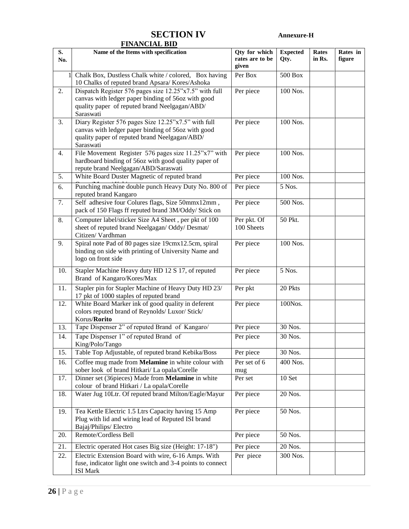# **SECTION IV Annexure-H**

|           | <b>FINANCIAL BID</b>                                                                                                                                                       |                                           |                         |                        |                    |
|-----------|----------------------------------------------------------------------------------------------------------------------------------------------------------------------------|-------------------------------------------|-------------------------|------------------------|--------------------|
| S.<br>No. | Name of the Items with specification                                                                                                                                       | Qty for which<br>rates are to be<br>given | <b>Expected</b><br>Qty. | <b>Rates</b><br>in Rs. | Rates in<br>figure |
|           | Chalk Box, Dustless Chalk white / colored, Box having<br>10 Chalks of reputed brand Apsara/ Kores/Ashoka                                                                   | Per Box                                   | 500 Box                 |                        |                    |
| 2.        | Dispatch Register 576 pages size 12.25"x7.5" with full<br>canvas with ledger paper binding of 56oz with good<br>quality paper of reputed brand Neelgagan/ABD/<br>Saraswati | Per piece                                 | 100 Nos.                |                        |                    |
| 3.        | Diary Register 576 pages Size 12.25"x7.5" with full<br>canvas with ledger paper binding of 56oz with good<br>quality paper of reputed brand Neelgagan/ABD/<br>Saraswati    | Per piece                                 | 100 Nos.                |                        |                    |
| 4.        | File Movement Register 576 pages size 11.25"x7" with<br>hardboard binding of 56oz with good quality paper of<br>repute brand Neelgagan/ABD/Saraswati                       | Per piece                                 | 100 Nos.                |                        |                    |
| 5.        | White Board Duster Magnetic of reputed brand                                                                                                                               | Per piece                                 | 100 Nos.                |                        |                    |
| 6.        | Punching machine double punch Heavy Duty No. 800 of<br>reputed brand Kangaro                                                                                               | Per piece                                 | 5 Nos.                  |                        |                    |
| 7.        | Self adhesive four Colures flags, Size 50mmx12mm,<br>pack of 150 Flags ff reputed brand 3M/Oddy/ Stick on                                                                  | Per piece                                 | 500 Nos.                |                        |                    |
| 8.        | Computer label/sticker Size A4 Sheet, per pkt of 100<br>sheet of reputed brand Neelgagan/ Oddy/ Desmat/<br>Citizen/Vardhman                                                | Per pkt. Of<br>100 Sheets                 | 50 Pkt.                 |                        |                    |
| 9.        | Spiral note Pad of 80 pages size 19cmx12.5cm, spiral<br>binding on side with printing of University Name and<br>logo on front side                                         | Per piece                                 | 100 Nos.                |                        |                    |
| 10.       | Stapler Machine Heavy duty HD 12 S 17, of reputed<br>Brand of Kangaro/Kores/Max                                                                                            | Per piece                                 | 5 Nos.                  |                        |                    |
| 11.       | Stapler pin for Stapler Machine of Heavy Duty HD 23/<br>17 pkt of 1000 staples of reputed brand                                                                            | Per pkt                                   | 20 Pkts                 |                        |                    |
| 12.       | White Board Marker ink of good quality in deferent<br>colors reputed brand of Reynolds/ Luxor/ Stick/<br>Korus/ <b>Rorito</b>                                              | Per piece                                 | 100Nos.                 |                        |                    |
| 13.       | Tape Dispenser 2" of reputed Brand of Kangaro/                                                                                                                             | Per piece                                 | 30 Nos.                 |                        |                    |
| 14.       | Tape Dispenser 1" of reputed Brand of<br>King/Polo/Tango                                                                                                                   | Per piece                                 | 30 Nos.                 |                        |                    |
| 15.       | Table Top Adjustable, of reputed brand Kebika/Boss                                                                                                                         | Per piece                                 | 30 Nos.                 |                        |                    |
| 16.       | Coffee mug made from Melamine in white colour with<br>sober look of brand Hitkari/ La opala/Corelle                                                                        | Per set of 6<br>mug                       | 400 Nos.                |                        |                    |
| 17.       | Dinner set (36pieces) Made from Melamine in white<br>colour of brand Hitkari / La opala/Corelle                                                                            | Per set                                   | 10 Set                  |                        |                    |
| 18.       | Water Jug 10Ltr. Of reputed brand Milton/Eagle/Mayur                                                                                                                       | Per piece                                 | 20 Nos.                 |                        |                    |
| 19.       | Tea Kettle Electric 1.5 Ltrs Capacity having 15 Amp<br>Plug with lid and wiring lead of Reputed ISI brand<br>Bajaj/Philips/ Electro                                        | Per piece                                 | 50 Nos.                 |                        |                    |
| 20.       | Remote/Cordless Bell                                                                                                                                                       | Per piece                                 | 50 Nos.                 |                        |                    |
| 21.       | Electric operated Hot cases Big size (Height: 17-18")                                                                                                                      | Per piece                                 | 20 Nos.                 |                        |                    |
| 22.       | Electric Extension Board with wire, 6-16 Amps. With<br>fuse, indicator light one switch and 3-4 points to connect<br><b>ISI Mark</b>                                       | Per piece                                 | 300 Nos.                |                        |                    |